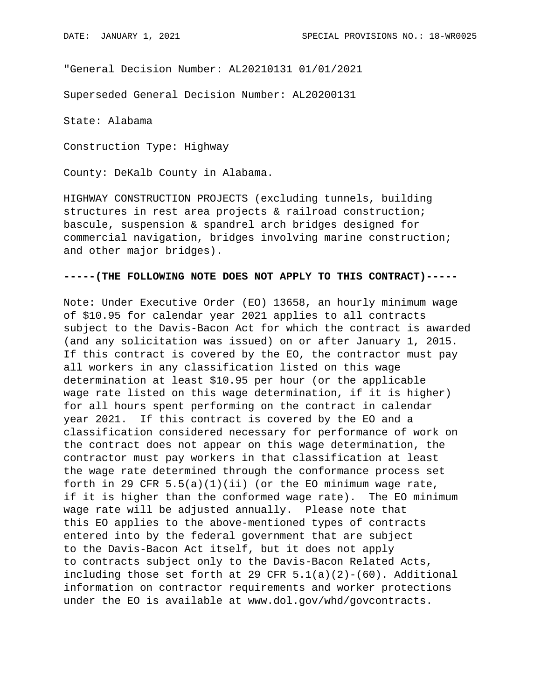"General Decision Number: AL20210131 01/01/2021

Superseded General Decision Number: AL20200131

State: Alabama

Construction Type: Highway

County: DeKalb County in Alabama.

HIGHWAY CONSTRUCTION PROJECTS (excluding tunnels, building structures in rest area projects & railroad construction; bascule, suspension & spandrel arch bridges designed for commercial navigation, bridges involving marine construction; and other major bridges).

### **-----(THE FOLLOWING NOTE DOES NOT APPLY TO THIS CONTRACT)-----**

Note: Under Executive Order (EO) 13658, an hourly minimum wage of \$10.95 for calendar year 2021 applies to all contracts subject to the Davis-Bacon Act for which the contract is awarded (and any solicitation was issued) on or after January 1, 2015. If this contract is covered by the EO, the contractor must pay all workers in any classification listed on this wage determination at least \$10.95 per hour (or the applicable wage rate listed on this wage determination, if it is higher) for all hours spent performing on the contract in calendar year 2021. If this contract is covered by the EO and a classification considered necessary for performance of work on the contract does not appear on this wage determination, the contractor must pay workers in that classification at least the wage rate determined through the conformance process set forth in 29 CFR  $5.5(a)(1)(ii)$  (or the EO minimum wage rate, if it is higher than the conformed wage rate). The EO minimum wage rate will be adjusted annually. Please note that this EO applies to the above-mentioned types of contracts entered into by the federal government that are subject to the Davis-Bacon Act itself, but it does not apply to contracts subject only to the Davis-Bacon Related Acts, including those set forth at 29 CFR  $5.1(a)(2)-(60)$ . Additional information on contractor requirements and worker protections under the EO is available at www.dol.gov/whd/govcontracts.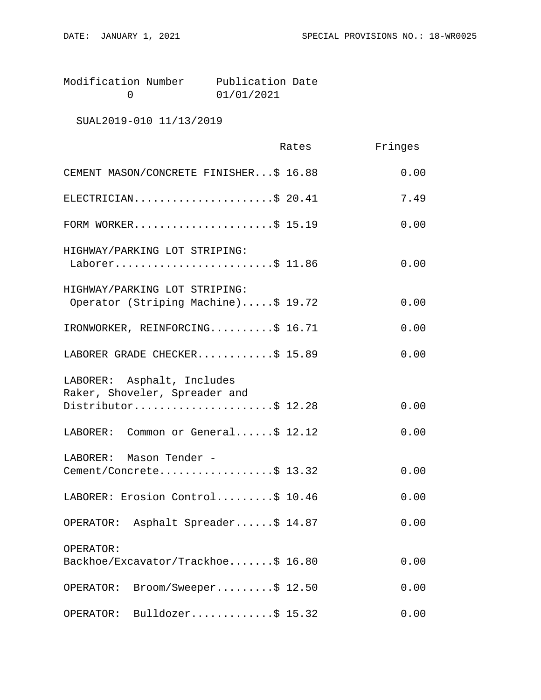| Modification Number | Publication Date |  |
|---------------------|------------------|--|
|                     | 01/01/2021       |  |

# SUAL2019-010 11/13/2019

|                                                                                    | Rates | Fringes |
|------------------------------------------------------------------------------------|-------|---------|
| CEMENT MASON/CONCRETE FINISHER\$ 16.88                                             |       | 0.00    |
| ELECTRICIAN\$ 20.41                                                                |       | 7.49    |
| FORM WORKER\$ 15.19                                                                |       | 0.00    |
| HIGHWAY/PARKING LOT STRIPING:<br>Laborer\$ 11.86                                   |       | 0.00    |
| HIGHWAY/PARKING LOT STRIPING:<br>Operator (Striping Machine)\$ 19.72               |       | 0.00    |
| IRONWORKER, REINFORCING\$ 16.71                                                    |       | 0.00    |
| LABORER GRADE CHECKER\$ 15.89                                                      |       | 0.00    |
| LABORER: Asphalt, Includes<br>Raker, Shoveler, Spreader and<br>Distributor\$ 12.28 |       | 0.00    |
| LABORER: Common or General\$ 12.12                                                 |       | 0.00    |
|                                                                                    |       |         |
| LABORER: Mason Tender -<br>Cement/Concrete\$ 13.32                                 |       | 0.00    |
| LABORER: Erosion Control\$ 10.46                                                   |       | 0.00    |
| OPERATOR: Asphalt Spreader\$ 14.87                                                 |       | 0.00    |
| OPERATOR:<br>Backhoe/Excavator/Trackhoe\$ 16.80                                    |       | 0.00    |
| $\texttt{Broom/Sweeper} \ldots \ldots \ddot{S} 12.50$<br>OPERATOR:                 |       | 0.00    |
| Bulldozer\$ $15.32$<br>OPERATOR:                                                   |       | 0.00    |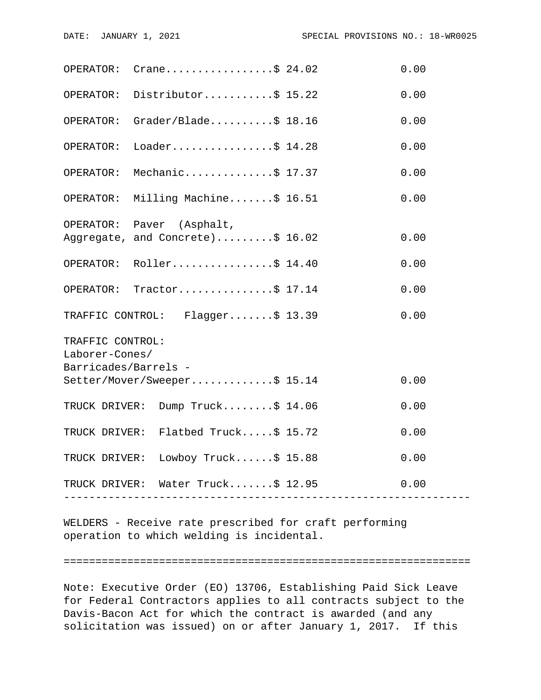|                                        | OPERATOR: $Crane \ldots  \ldots$ \$ 24.02                                 |                          | 0.00 |  |  |
|----------------------------------------|---------------------------------------------------------------------------|--------------------------|------|--|--|
|                                        | OPERATOR: Distributor\$ 15.22                                             |                          | 0.00 |  |  |
|                                        | OPERATOR: Grader/Blade\$ 18.16                                            |                          | 0.00 |  |  |
| OPERATOR:                              | Loader\$ $14.28$                                                          |                          | 0.00 |  |  |
| OPERATOR:                              | Mechanic\$ 17.37                                                          |                          | 0.00 |  |  |
|                                        | OPERATOR: Milling Machine\$ 16.51                                         |                          | 0.00 |  |  |
|                                        | OPERATOR: Paver (Asphalt,                                                 |                          |      |  |  |
|                                        | Aggregate, and Concrete)\$ 16.02                                          |                          | 0.00 |  |  |
|                                        | OPERATOR: Roller\$ 14.40                                                  |                          | 0.00 |  |  |
|                                        | OPERATOR: Tractor\$ 17.14                                                 |                          | 0.00 |  |  |
|                                        | TRAFFIC CONTROL: Flagger\$ 13.39                                          |                          | 0.00 |  |  |
| TRAFFIC CONTROL:                       |                                                                           |                          |      |  |  |
| Laborer-Cones/<br>Barricades/Barrels - |                                                                           |                          |      |  |  |
|                                        | Setter/Mover/Sweeper\$ 15.14                                              |                          | 0.00 |  |  |
|                                        | TRUCK DRIVER: Dump Truck\$ 14.06                                          |                          | 0.00 |  |  |
|                                        | TRUCK DRIVER: Flatbed Truck\$ 15.72                                       |                          | 0.00 |  |  |
|                                        | TRUCK DRIVER: Lowboy Truck\$ 15.88                                        |                          | 0.00 |  |  |
|                                        | TRUCK DRIVER: Water Truck\$ 12.95<br>------------------------------------ | ------------------------ | 0.00 |  |  |
|                                        |                                                                           |                          |      |  |  |

WELDERS - Receive rate prescribed for craft performing operation to which welding is incidental.

#### ================================================================

Note: Executive Order (EO) 13706, Establishing Paid Sick Leave for Federal Contractors applies to all contracts subject to the Davis-Bacon Act for which the contract is awarded (and any solicitation was issued) on or after January 1, 2017. If this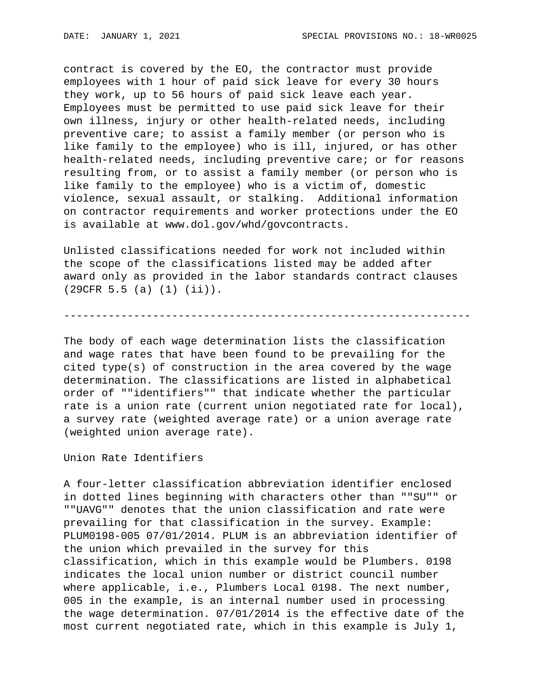contract is covered by the EO, the contractor must provide employees with 1 hour of paid sick leave for every 30 hours they work, up to 56 hours of paid sick leave each year. Employees must be permitted to use paid sick leave for their own illness, injury or other health-related needs, including preventive care; to assist a family member (or person who is like family to the employee) who is ill, injured, or has other health-related needs, including preventive care; or for reasons resulting from, or to assist a family member (or person who is like family to the employee) who is a victim of, domestic violence, sexual assault, or stalking. Additional information on contractor requirements and worker protections under the EO is available at www.dol.gov/whd/govcontracts.

Unlisted classifications needed for work not included within the scope of the classifications listed may be added after award only as provided in the labor standards contract clauses (29CFR 5.5 (a) (1) (ii)).

# ----------------------------------------------------------------

The body of each wage determination lists the classification and wage rates that have been found to be prevailing for the cited type(s) of construction in the area covered by the wage determination. The classifications are listed in alphabetical order of ""identifiers"" that indicate whether the particular rate is a union rate (current union negotiated rate for local), a survey rate (weighted average rate) or a union average rate (weighted union average rate).

Union Rate Identifiers

A four-letter classification abbreviation identifier enclosed in dotted lines beginning with characters other than ""SU"" or ""UAVG"" denotes that the union classification and rate were prevailing for that classification in the survey. Example: PLUM0198-005 07/01/2014. PLUM is an abbreviation identifier of the union which prevailed in the survey for this classification, which in this example would be Plumbers. 0198 indicates the local union number or district council number where applicable, i.e., Plumbers Local 0198. The next number, 005 in the example, is an internal number used in processing the wage determination. 07/01/2014 is the effective date of the most current negotiated rate, which in this example is July 1,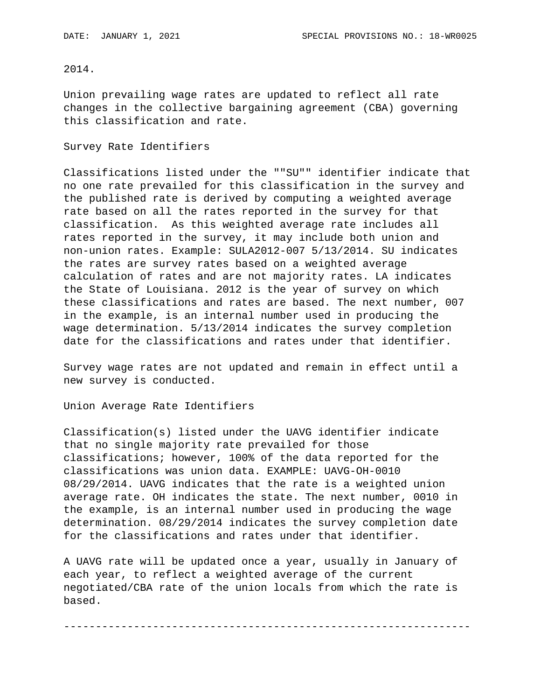## 2014.

Union prevailing wage rates are updated to reflect all rate changes in the collective bargaining agreement (CBA) governing this classification and rate.

### Survey Rate Identifiers

Classifications listed under the ""SU"" identifier indicate that no one rate prevailed for this classification in the survey and the published rate is derived by computing a weighted average rate based on all the rates reported in the survey for that classification. As this weighted average rate includes all rates reported in the survey, it may include both union and non-union rates. Example: SULA2012-007 5/13/2014. SU indicates the rates are survey rates based on a weighted average calculation of rates and are not majority rates. LA indicates the State of Louisiana. 2012 is the year of survey on which these classifications and rates are based. The next number, 007 in the example, is an internal number used in producing the wage determination. 5/13/2014 indicates the survey completion date for the classifications and rates under that identifier.

Survey wage rates are not updated and remain in effect until a new survey is conducted.

Union Average Rate Identifiers

Classification(s) listed under the UAVG identifier indicate that no single majority rate prevailed for those classifications; however, 100% of the data reported for the classifications was union data. EXAMPLE: UAVG-OH-0010 08/29/2014. UAVG indicates that the rate is a weighted union average rate. OH indicates the state. The next number, 0010 in the example, is an internal number used in producing the wage determination. 08/29/2014 indicates the survey completion date for the classifications and rates under that identifier.

A UAVG rate will be updated once a year, usually in January of each year, to reflect a weighted average of the current negotiated/CBA rate of the union locals from which the rate is based.

----------------------------------------------------------------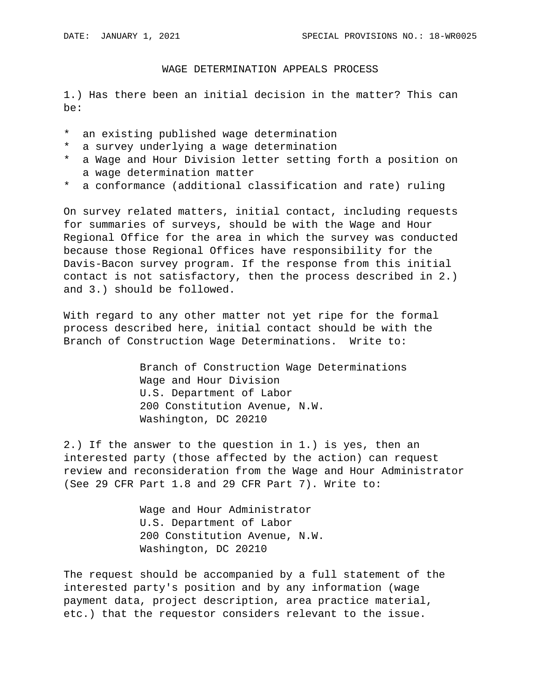#### WAGE DETERMINATION APPEALS PROCESS

1.) Has there been an initial decision in the matter? This can be:

- \* an existing published wage determination
- \* a survey underlying a wage determination
- \* a Wage and Hour Division letter setting forth a position on a wage determination matter
- \* a conformance (additional classification and rate) ruling

On survey related matters, initial contact, including requests for summaries of surveys, should be with the Wage and Hour Regional Office for the area in which the survey was conducted because those Regional Offices have responsibility for the Davis-Bacon survey program. If the response from this initial contact is not satisfactory, then the process described in 2.) and 3.) should be followed.

With regard to any other matter not yet ripe for the formal process described here, initial contact should be with the Branch of Construction Wage Determinations. Write to:

> Branch of Construction Wage Determinations Wage and Hour Division U.S. Department of Labor 200 Constitution Avenue, N.W. Washington, DC 20210

2.) If the answer to the question in 1.) is yes, then an interested party (those affected by the action) can request review and reconsideration from the Wage and Hour Administrator (See 29 CFR Part 1.8 and 29 CFR Part 7). Write to:

> Wage and Hour Administrator U.S. Department of Labor 200 Constitution Avenue, N.W. Washington, DC 20210

The request should be accompanied by a full statement of the interested party's position and by any information (wage payment data, project description, area practice material, etc.) that the requestor considers relevant to the issue.